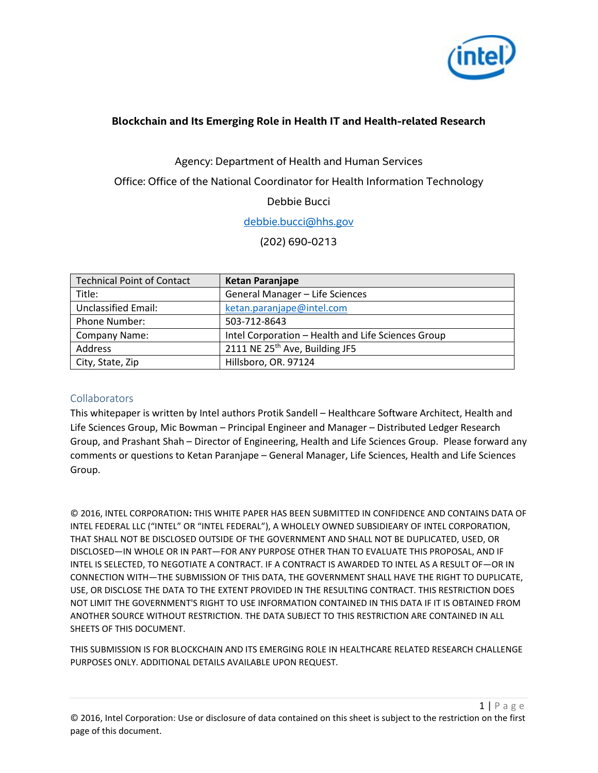

#### **Blockchain and Its Emerging Role in Health IT and Health-related Research**

#### Agency: Department of Health and Human Services

Office: Office of the National Coordinator for Health Information Technology

#### Debbie Bucci

#### [debbie.bucci@hhs.gov](mailto:debbie.bucci@hhs.gov)

(202) 690-0213

| <b>Technical Point of Contact</b> | <b>Ketan Paranjape</b>                             |
|-----------------------------------|----------------------------------------------------|
| Title:                            | General Manager - Life Sciences                    |
| <b>Unclassified Email:</b>        | ketan.paranjape@intel.com                          |
| <b>Phone Number:</b>              | 503-712-8643                                       |
| Company Name:                     | Intel Corporation - Health and Life Sciences Group |
| Address                           | 2111 NE 25 <sup>th</sup> Ave, Building JF5         |
| City, State, Zip                  | Hillsboro, OR. 97124                               |

#### **Collaborators**

This whitepaper is written by Intel authors Protik Sandell – Healthcare Software Architect, Health and Life Sciences Group, Mic Bowman – Principal Engineer and Manager – Distributed Ledger Research Group, and Prashant Shah – Director of Engineering, Health and Life Sciences Group. Please forward any comments or questions to Ketan Paranjape – General Manager, Life Sciences, Health and Life Sciences Group.

© 2016, INTEL CORPORATION**:** THIS WHITE PAPER HAS BEEN SUBMITTED IN CONFIDENCE AND CONTAINS DATA OF INTEL FEDERAL LLC ("INTEL" OR "INTEL FEDERAL"), A WHOLELY OWNED SUBSIDIEARY OF INTEL CORPORATION, THAT SHALL NOT BE DISCLOSED OUTSIDE OF THE GOVERNMENT AND SHALL NOT BE DUPLICATED, USED, OR DISCLOSED—IN WHOLE OR IN PART—FOR ANY PURPOSE OTHER THAN TO EVALUATE THIS PROPOSAL, AND IF INTEL IS SELECTED, TO NEGOTIATE A CONTRACT. IF A CONTRACT IS AWARDED TO INTEL AS A RESULT OF—OR IN CONNECTION WITH—THE SUBMISSION OF THIS DATA, THE GOVERNMENT SHALL HAVE THE RIGHT TO DUPLICATE, USE, OR DISCLOSE THE DATA TO THE EXTENT PROVIDED IN THE RESULTING CONTRACT. THIS RESTRICTION DOES NOT LIMIT THE GOVERNMENT'S RIGHT TO USE INFORMATION CONTAINED IN THIS DATA IF IT IS OBTAINED FROM ANOTHER SOURCE WITHOUT RESTRICTION. THE DATA SUBJECT TO THIS RESTRICTION ARE CONTAINED IN ALL SHEETS OF THIS DOCUMENT.

THIS SUBMISSION IS FOR BLOCKCHAIN AND ITS EMERGING ROLE IN HEALTHCARE RELATED RESEARCH CHALLENGE PURPOSES ONLY. ADDITIONAL DETAILS AVAILABLE UPON REQUEST.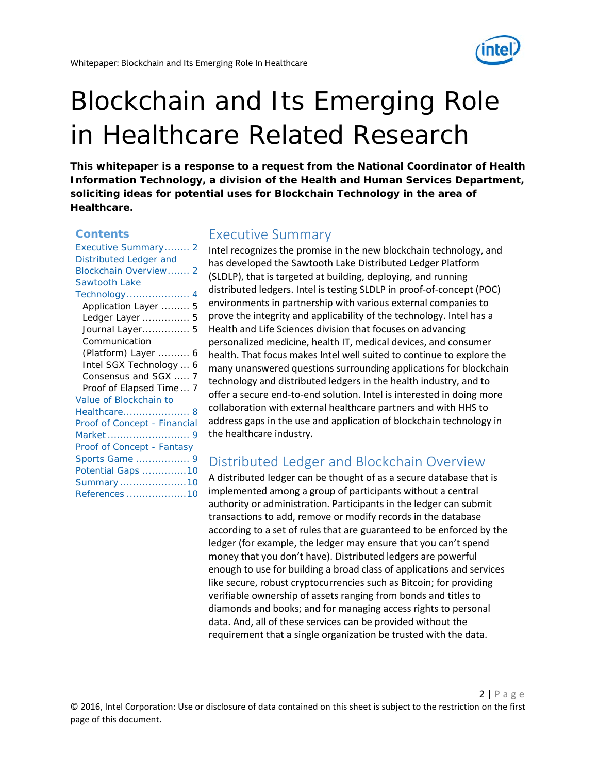

# Blockchain and Its Emerging Role in Healthcare Related Research

**This whitepaper is a response to a request from the National Coordinator of Health Information Technology, a division of the Health and Human Services Department, soliciting ideas for potential uses for Blockchain Technology in the area of Healthcare.** 

#### **Contents**

| Executive Summary 2          |
|------------------------------|
| Distributed Ledger and       |
| Blockchain Overview 2        |
| <b>Sawtooth Lake</b>         |
| Technology 4                 |
| Application Layer  5         |
| Ledger Layer  5              |
| Journal Layer 5              |
| Communication                |
| (Platform) Layer  6          |
| Intel SGX Technology  6      |
| Consensus and SGX  7         |
| Proof of Elapsed Time  7     |
| Value of Blockchain to       |
| Healthcare 8                 |
| Proof of Concept - Financial |
|                              |
|                              |
| Proof of Concept - Fantasy   |
| Sports Game  9               |
| Potential Gaps 10            |
| Summary 10                   |
| References 10                |

## <span id="page-1-0"></span>Executive Summary

Intel recognizes the promise in the new blockchain technology, and has developed the Sawtooth Lake Distributed Ledger Platform (SLDLP), that is targeted at building, deploying, and running distributed ledgers. Intel is testing SLDLP in proof-of-concept (POC) environments in partnership with various external companies to prove the integrity and applicability of the technology. Intel has a Health and Life Sciences division that focuses on advancing personalized medicine, health IT, medical devices, and consumer health. That focus makes Intel well suited to continue to explore the many unanswered questions surrounding applications for blockchain technology and distributed ledgers in the health industry, and to offer a secure end-to-end solution. Intel is interested in doing more collaboration with external healthcare partners and with HHS to address gaps in the use and application of blockchain technology in the healthcare industry.

## <span id="page-1-1"></span>Distributed Ledger and Blockchain Overview

A distributed ledger can be thought of as a secure database that is implemented among a group of participants without a central authority or administration. Participants in the ledger can submit transactions to add, remove or modify records in the database according to a set of rules that are guaranteed to be enforced by the ledger (for example, the ledger may ensure that you can't spend money that you don't have). Distributed ledgers are powerful enough to use for building a broad class of applications and services like secure, robust cryptocurrencies such as Bitcoin; for providing verifiable ownership of assets ranging from bonds and titles to diamonds and books; and for managing access rights to personal data. And, all of these services can be provided without the requirement that a single organization be trusted with the data.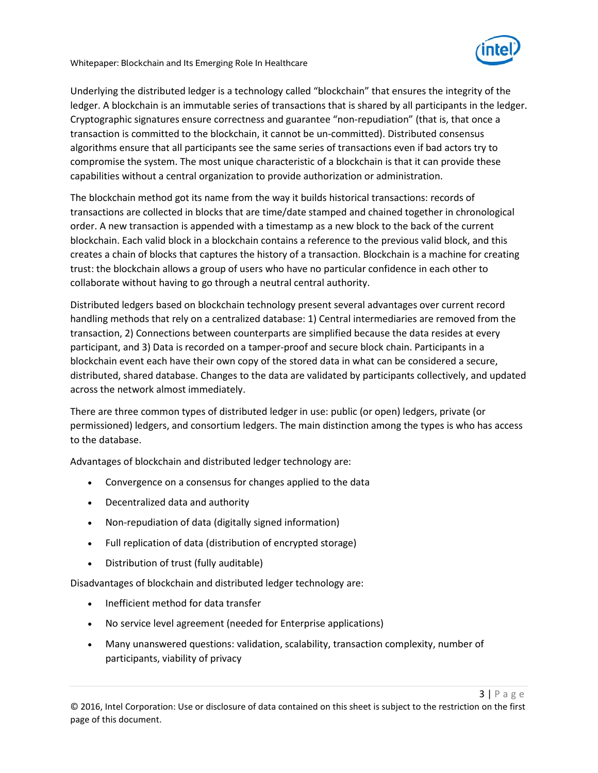

Underlying the distributed ledger is a technology called "blockchain" that ensures the integrity of the ledger. A blockchain is an immutable series of transactions that is shared by all participants in the ledger. Cryptographic signatures ensure correctness and guarantee "non-repudiation" (that is, that once a transaction is committed to the blockchain, it cannot be un-committed). Distributed consensus algorithms ensure that all participants see the same series of transactions even if bad actors try to compromise the system. The most unique characteristic of a blockchain is that it can provide these capabilities without a central organization to provide authorization or administration.

The blockchain method got its name from the way it builds historical transactions: records of transactions are collected in blocks that are time/date stamped and chained together in chronological order. A new transaction is appended with a timestamp as a new block to the back of the current blockchain. Each valid block in a blockchain contains a reference to the previous valid block, and this creates a chain of blocks that captures the history of a transaction. Blockchain is a machine for creating trust: the blockchain allows a group of users who have no particular confidence in each other to collaborate without having to go through a neutral central authority.

Distributed ledgers based on blockchain technology present several advantages over current record handling methods that rely on a centralized database: 1) Central intermediaries are removed from the transaction, 2) Connections between counterparts are simplified because the data resides at every participant, and 3) Data is recorded on a tamper-proof and secure block chain. Participants in a blockchain event each have their own copy of the stored data in what can be considered a secure, distributed, shared database. Changes to the data are validated by participants collectively, and updated across the network almost immediately.

There are three common types of distributed ledger in use: public (or open) ledgers, private (or permissioned) ledgers, and consortium ledgers. The main distinction among the types is who has access to the database.

Advantages of blockchain and distributed ledger technology are:

- Convergence on a consensus for changes applied to the data
- Decentralized data and authority
- Non-repudiation of data (digitally signed information)
- Full replication of data (distribution of encrypted storage)
- Distribution of trust (fully auditable)

Disadvantages of blockchain and distributed ledger technology are:

- Inefficient method for data transfer
- No service level agreement (needed for Enterprise applications)
- Many unanswered questions: validation, scalability, transaction complexity, number of participants, viability of privacy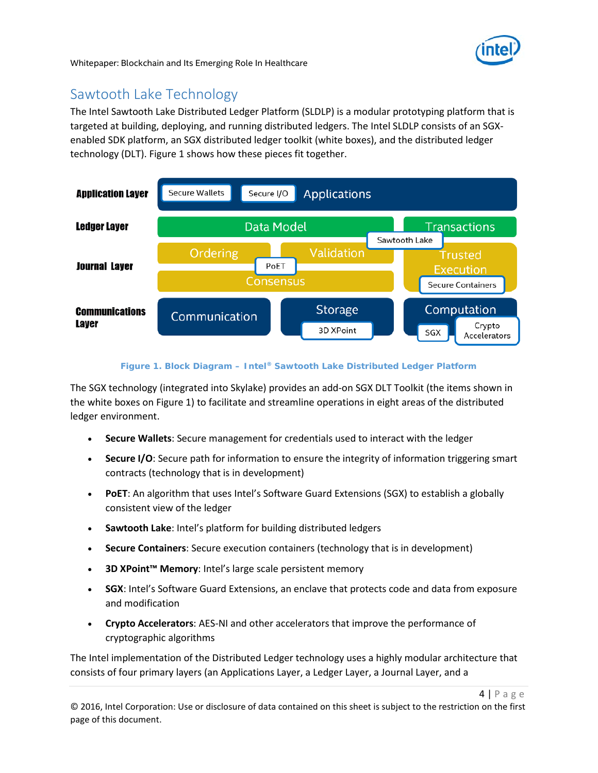

4 | Page

# <span id="page-3-0"></span>Sawtooth Lake Technology

The Intel Sawtooth Lake Distributed Ledger Platform (SLDLP) is a modular prototyping platform that is targeted at building, deploying, and running distributed ledgers. The Intel SLDLP consists of an SGXenabled SDK platform, an SGX distributed ledger toolkit (white boxes), and the distributed ledger technology (DLT). Figure 1 shows how these pieces fit together.



#### **Figure 1. Block Diagram – Intel® Sawtooth Lake Distributed Ledger Platform**

The SGX technology (integrated into Skylake) provides an add-on SGX DLT Toolkit (the items shown in the white boxes on Figure 1) to facilitate and streamline operations in eight areas of the distributed ledger environment.

- **Secure Wallets**: Secure management for credentials used to interact with the ledger
- **Secure I/O**: Secure path for information to ensure the integrity of information triggering smart contracts (technology that is in development)
- **PoET**: An algorithm that uses Intel's Software Guard Extensions (SGX) to establish a globally consistent view of the ledger
- **Sawtooth Lake**: Intel's platform for building distributed ledgers
- **Secure Containers**: Secure execution containers (technology that is in development)
- **3D XPoint™ Memory**: Intel's large scale persistent memory
- **SGX**: Intel's Software Guard Extensions, an enclave that protects code and data from exposure and modification
- **Crypto Accelerators**: AES-NI and other accelerators that improve the performance of cryptographic algorithms

The Intel implementation of the Distributed Ledger technology uses a highly modular architecture that consists of four primary layers (an Applications Layer, a Ledger Layer, a Journal Layer, and a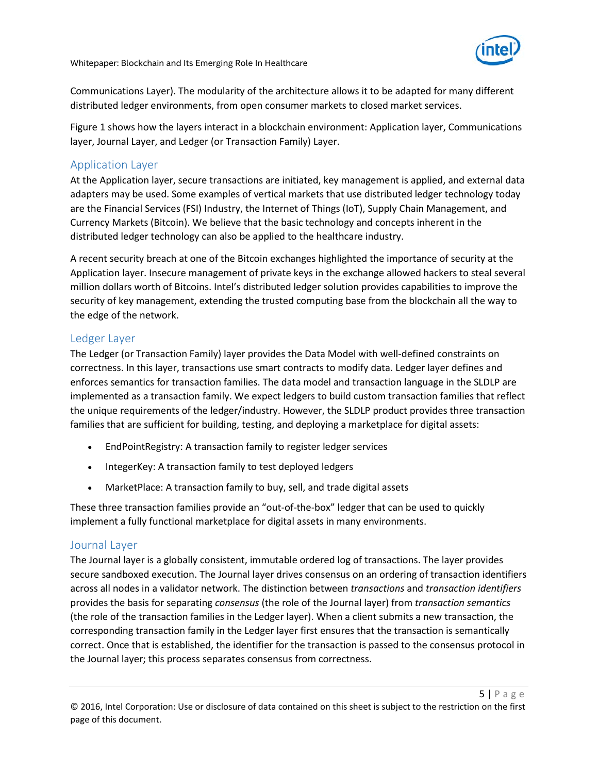

Communications Layer). The modularity of the architecture allows it to be adapted for many different distributed ledger environments, from open consumer markets to closed market services.

Figure 1 shows how the layers interact in a blockchain environment: Application layer, Communications layer, Journal Layer, and Ledger (or Transaction Family) Layer.

#### <span id="page-4-0"></span>Application Layer

At the Application layer, secure transactions are initiated, key management is applied, and external data adapters may be used. Some examples of vertical markets that use distributed ledger technology today are the Financial Services (FSI) Industry, the Internet of Things (IoT), Supply Chain Management, and Currency Markets (Bitcoin). We believe that the basic technology and concepts inherent in the distributed ledger technology can also be applied to the healthcare industry.

A recent security breach at one of the Bitcoin exchanges highlighted the importance of security at the Application layer. Insecure management of private keys in the exchange allowed hackers to steal several million dollars worth of Bitcoins. Intel's distributed ledger solution provides capabilities to improve the security of key management, extending the trusted computing base from the blockchain all the way to the edge of the network.

#### <span id="page-4-1"></span>Ledger Layer

The Ledger (or Transaction Family) layer provides the Data Model with well-defined constraints on correctness. In this layer, transactions use smart contracts to modify data. Ledger layer defines and enforces semantics for transaction families. The data model and transaction language in the SLDLP are implemented as a transaction family. We expect ledgers to build custom transaction families that reflect the unique requirements of the ledger/industry. However, the SLDLP product provides three transaction families that are sufficient for building, testing, and deploying a marketplace for digital assets:

- EndPointRegistry: A transaction family to register ledger services
- IntegerKey: A transaction family to test deployed ledgers
- MarketPlace: A transaction family to buy, sell, and trade digital assets

These three transaction families provide an "out-of-the-box" ledger that can be used to quickly implement a fully functional marketplace for digital assets in many environments.

#### <span id="page-4-2"></span>Journal Layer

The Journal layer is a globally consistent, immutable ordered log of transactions. The layer provides secure sandboxed execution. The Journal layer drives consensus on an ordering of transaction identifiers across all nodes in a validator network. The distinction between *transactions* and *transaction identifiers* provides the basis for separating *consensus* (the role of the Journal layer) from *transaction semantics* (the role of the transaction families in the Ledger layer). When a client submits a new transaction, the corresponding transaction family in the Ledger layer first ensures that the transaction is semantically correct. Once that is established, the identifier for the transaction is passed to the consensus protocol in the Journal layer; this process separates consensus from correctness.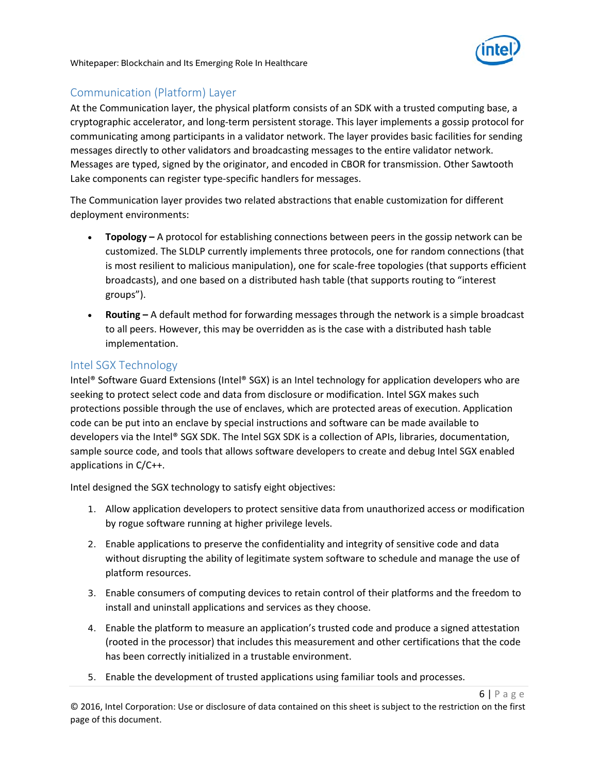

6 | Page

## <span id="page-5-0"></span>Communication (Platform) Layer

At the Communication layer, the physical platform consists of an SDK with a trusted computing base, a cryptographic accelerator, and long-term persistent storage. This layer implements a gossip protocol for communicating among participants in a validator network. The layer provides basic facilities for sending messages directly to other validators and broadcasting messages to the entire validator network. Messages are typed, signed by the originator, and encoded in CBOR for transmission. Other Sawtooth Lake components can register type-specific handlers for messages.

The Communication layer provides two related abstractions that enable customization for different deployment environments:

- **Topology –** A protocol for establishing connections between peers in the gossip network can be customized. The SLDLP currently implements three protocols, one for random connections (that is most resilient to malicious manipulation), one for scale-free topologies (that supports efficient broadcasts), and one based on a distributed hash table (that supports routing to "interest groups").
- **Routing –** A default method for forwarding messages through the network is a simple broadcast to all peers. However, this may be overridden as is the case with a distributed hash table implementation.

#### <span id="page-5-1"></span>Intel SGX Technology

Intel® Software Guard Extensions (Intel® SGX) is an Intel technology for application developers who are seeking to protect select code and data from disclosure or modification. Intel SGX makes such protections possible through the use of enclaves, which are protected areas of execution. Application code can be put into an enclave by special instructions and software can be made available to developers via the Intel® SGX SDK. The Intel SGX SDK is a collection of APIs, libraries, documentation, sample source code, and tools that allows software developers to create and debug Intel SGX enabled applications in C/C++.

Intel designed the SGX technology to satisfy eight objectives:

- 1. Allow application developers to protect sensitive data from unauthorized access or modification by rogue software running at higher privilege levels.
- 2. Enable applications to preserve the confidentiality and integrity of sensitive code and data without disrupting the ability of legitimate system software to schedule and manage the use of platform resources.
- 3. Enable consumers of computing devices to retain control of their platforms and the freedom to install and uninstall applications and services as they choose.
- 4. Enable the platform to measure an application's trusted code and produce a signed attestation (rooted in the processor) that includes this measurement and other certifications that the code has been correctly initialized in a trustable environment.
- 5. Enable the development of trusted applications using familiar tools and processes.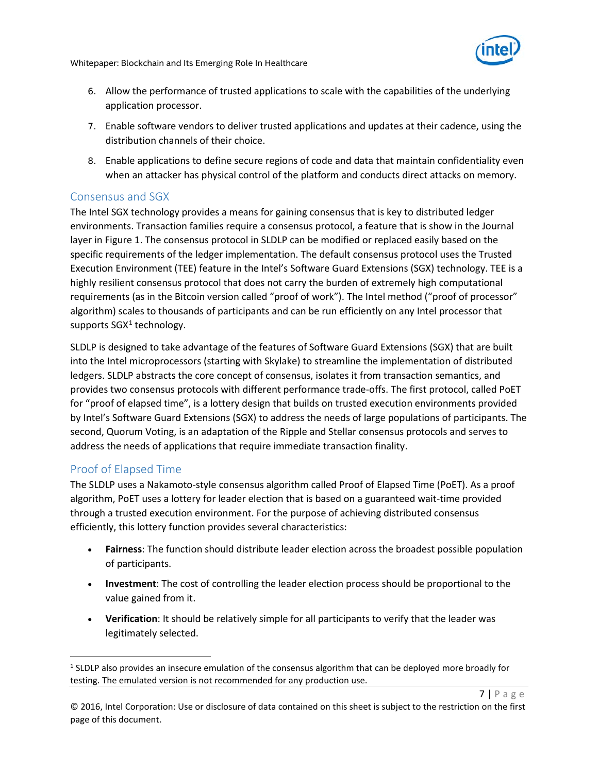

7 | Page

Whitepaper: Blockchain and Its Emerging Role In Healthcare

- 6. Allow the performance of trusted applications to scale with the capabilities of the underlying application processor.
- 7. Enable software vendors to deliver trusted applications and updates at their cadence, using the distribution channels of their choice.
- 8. Enable applications to define secure regions of code and data that maintain confidentiality even when an attacker has physical control of the platform and conducts direct attacks on memory.

## <span id="page-6-0"></span>Consensus and SGX

The Intel SGX technology provides a means for gaining consensus that is key to distributed ledger environments. Transaction families require a consensus protocol, a feature that is show in the Journal layer in Figure 1. The consensus protocol in SLDLP can be modified or replaced easily based on the specific requirements of the ledger implementation. The default consensus protocol uses the Trusted Execution Environment (TEE) feature in the Intel's Software Guard Extensions (SGX) technology. TEE is a highly resilient consensus protocol that does not carry the burden of extremely high computational requirements (as in the Bitcoin version called "proof of work"). The Intel method ("proof of processor" algorithm) scales to thousands of participants and can be run efficiently on any Intel processor that supports  $SGX<sup>1</sup>$  $SGX<sup>1</sup>$  $SGX<sup>1</sup>$  technology.

SLDLP is designed to take advantage of the features of Software Guard Extensions (SGX) that are built into the Intel microprocessors (starting with Skylake) to streamline the implementation of distributed ledgers. SLDLP abstracts the core concept of consensus, isolates it from transaction semantics, and provides two consensus protocols with different performance trade-offs. The first protocol, called PoET for "proof of elapsed time", is a lottery design that builds on trusted execution environments provided by Intel's Software Guard Extensions (SGX) to address the needs of large populations of participants. The second, Quorum Voting, is an adaptation of the Ripple and Stellar consensus protocols and serves to address the needs of applications that require immediate transaction finality.

## <span id="page-6-1"></span>Proof of Elapsed Time

The SLDLP uses a Nakamoto-style consensus algorithm called Proof of Elapsed Time (PoET). As a proof algorithm, PoET uses a lottery for leader election that is based on a guaranteed wait-time provided through a trusted execution environment. For the purpose of achieving distributed consensus efficiently, this lottery function provides several characteristics:

- **Fairness**: The function should distribute leader election across the broadest possible population of participants.
- **Investment**: The cost of controlling the leader election process should be proportional to the value gained from it.
- **Verification**: It should be relatively simple for all participants to verify that the leader was legitimately selected.

<span id="page-6-2"></span><sup>&</sup>lt;sup>1</sup> SLDLP also provides an insecure emulation of the consensus algorithm that can be deployed more broadly for testing. The emulated version is not recommended for any production use.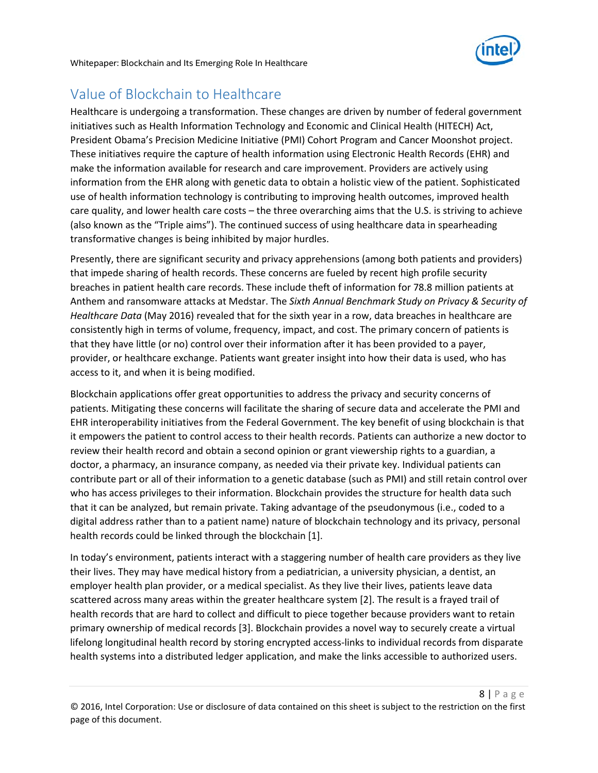

# <span id="page-7-0"></span>Value of Blockchain to Healthcare

Healthcare is undergoing a transformation. These changes are driven by number of federal government initiatives such as Health Information Technology and Economic and Clinical Health (HITECH) Act, President Obama's Precision Medicine Initiative (PMI) Cohort Program and Cancer Moonshot project. These initiatives require the capture of health information using Electronic Health Records (EHR) and make the information available for research and care improvement. Providers are actively using information from the EHR along with genetic data to obtain a holistic view of the patient. Sophisticated use of health information technology is contributing to improving health outcomes, improved health care quality, and lower health care costs – the three overarching aims that the U.S. is striving to achieve (also known as the "Triple aims"). The continued success of using healthcare data in spearheading transformative changes is being inhibited by major hurdles.

Presently, there are significant security and privacy apprehensions (among both patients and providers) that impede sharing of health records. These concerns are fueled by recent high profile security breaches in patient health care records. These include theft of information for 78.8 million patients at Anthem and ransomware attacks at Medstar. The *Sixth Annual Benchmark Study on Privacy & Security of Healthcare Data* (May 2016) revealed that for the sixth year in a row, data breaches in healthcare are consistently high in terms of volume, frequency, impact, and cost. The primary concern of patients is that they have little (or no) control over their information after it has been provided to a payer, provider, or healthcare exchange. Patients want greater insight into how their data is used, who has access to it, and when it is being modified.

Blockchain applications offer great opportunities to address the privacy and security concerns of patients. Mitigating these concerns will facilitate the sharing of secure data and accelerate the PMI and EHR interoperability initiatives from the Federal Government. The key benefit of using blockchain is that it empowers the patient to control access to their health records. Patients can authorize a new doctor to review their health record and obtain a second opinion or grant viewership rights to a guardian, a doctor, a pharmacy, an insurance company, as needed via their private key. Individual patients can contribute part or all of their information to a genetic database (such as PMI) and still retain control over who has access privileges to their information. Blockchain provides the structure for health data such that it can be analyzed, but remain private. Taking advantage of the pseudonymous (i.e., coded to a digital address rather than to a patient name) nature of blockchain technology and its privacy, personal health records could be linked through the blockchain [1].

In today's environment, patients interact with a staggering number of health care providers as they live their lives. They may have medical history from a pediatrician, a university physician, a dentist, an employer health plan provider, or a medical specialist. As they live their lives, patients leave data scattered across many areas within the greater healthcare system [2]. The result is a frayed trail of health records that are hard to collect and difficult to piece together because providers want to retain primary ownership of medical records [3]. Blockchain provides a novel way to securely create a virtual lifelong longitudinal health record by storing encrypted access-links to individual records from disparate health systems into a distributed ledger application, and make the links accessible to authorized users.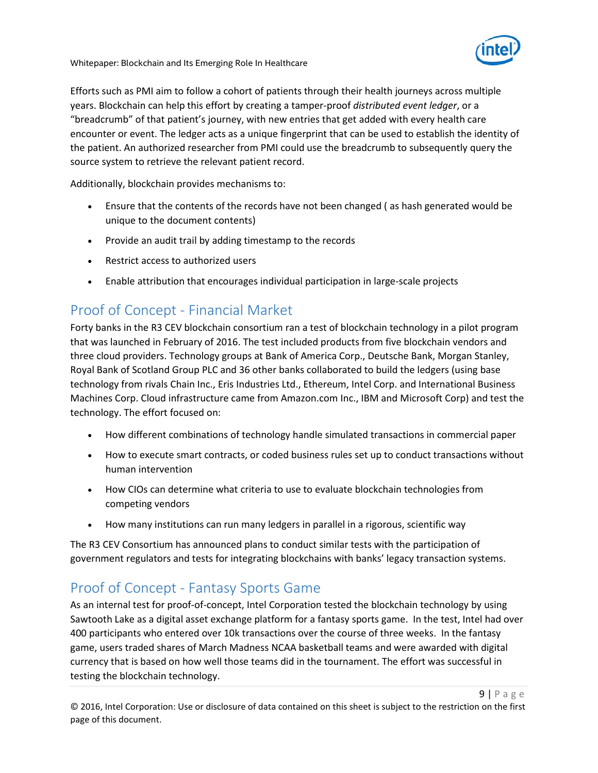

Efforts such as PMI aim to follow a cohort of patients through their health journeys across multiple years. Blockchain can help this effort by creating a tamper-proof *distributed event ledger*, or a "breadcrumb" of that patient's journey, with new entries that get added with every health care encounter or event. The ledger acts as a unique fingerprint that can be used to establish the identity of the patient. An authorized researcher from PMI could use the breadcrumb to subsequently query the source system to retrieve the relevant patient record.

Additionally, blockchain provides mechanisms to:

- Ensure that the contents of the records have not been changed ( as hash generated would be unique to the document contents)
- Provide an audit trail by adding timestamp to the records
- Restrict access to authorized users
- Enable attribution that encourages individual participation in large-scale projects

# <span id="page-8-0"></span>Proof of Concept - Financial Market

Forty banks in the R3 CEV blockchain consortium ran a test of blockchain technology in a pilot program that was launched in February of 2016. The test included products from five blockchain vendors and three cloud providers. Technology groups at Bank of America Corp., Deutsche Bank, Morgan Stanley, Royal Bank of Scotland Group PLC and 36 other banks collaborated to build the ledgers (using base technology from rivals Chain Inc., Eris Industries Ltd., Ethereum, Intel Corp. and International Business Machines Corp. Cloud infrastructure came from Amazon.com Inc., IBM and Microsoft Corp) and test the technology. The effort focused on:

- How different combinations of technology handle simulated transactions in commercial paper
- How to execute smart contracts, or coded business rules set up to conduct transactions without human intervention
- How CIOs can determine what criteria to use to evaluate blockchain technologies from competing vendors
- How many institutions can run many ledgers in parallel in a rigorous, scientific way

The R3 CEV Consortium has announced plans to conduct similar tests with the participation of government regulators and tests for integrating blockchains with banks' legacy transaction systems.

# <span id="page-8-1"></span>Proof of Concept - Fantasy Sports Game

As an internal test for proof-of-concept, Intel Corporation tested the blockchain technology by using Sawtooth Lake as a digital asset exchange platform for a fantasy sports game. In the test, Intel had over 400 participants who entered over 10k transactions over the course of three weeks. In the fantasy game, users traded shares of March Madness NCAA basketball teams and were awarded with digital currency that is based on how well those teams did in the tournament. The effort was successful in testing the blockchain technology.